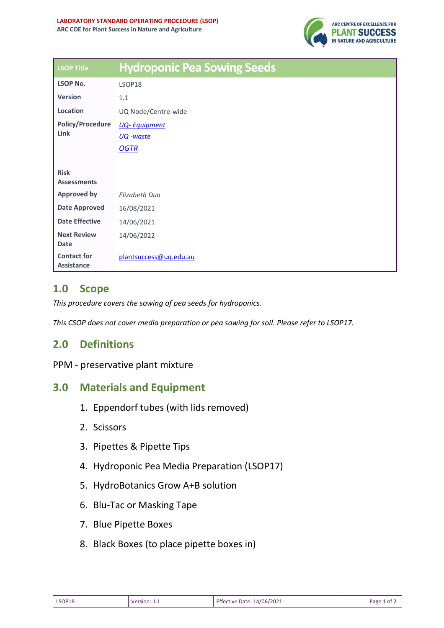

| <b>LSOP Title</b>                       | <b>Hydroponic Pea Sowing Seeds</b> |
|-----------------------------------------|------------------------------------|
| <b>LSOP No.</b>                         | LSOP18                             |
| <b>Version</b>                          | 1.1                                |
| Location                                | UQ Node/Centre-wide                |
| <b>Policy/Procedure</b><br>Link         | <b>UQ-Equipment</b>                |
|                                         | UQ -waste                          |
|                                         | <b>OGTR</b>                        |
|                                         |                                    |
| <b>Risk</b><br><b>Assessments</b>       |                                    |
| <b>Approved by</b>                      | <b>Elizabeth Dun</b>               |
| <b>Date Approved</b>                    | 16/08/2021                         |
| <b>Date Effective</b>                   | 14/06/2021                         |
| <b>Next Review</b><br><b>Date</b>       | 14/06/2022                         |
| <b>Contact for</b><br><b>Assistance</b> | plantsuccess@uq.edu.au             |

## **1.0 Scope**

*This procedure covers the sowing of pea seeds for hydroponics.*

*This CSOP does not cover media preparation or pea sowing for soil. Please refer to LSOP17.* 

## **2.0 Definitions**

PPM - preservative plant mixture

## **3.0 Materials and Equipment**

- 1. Eppendorf tubes (with lids removed)
- 2. Scissors
- 3. Pipettes & Pipette Tips
- 4. Hydroponic Pea Media Preparation (LSOP17)
- 5. HydroBotanics Grow A+B solution
- 6. Blu-Tac or Masking Tape
- 7. Blue Pipette Boxes
- 8. Black Boxes (to place pipette boxes in)

| LSOP18 | Version: 1.1 | Effective Date: 14/06/2021 | Page 1 of $\angle$ |
|--------|--------------|----------------------------|--------------------|
|--------|--------------|----------------------------|--------------------|